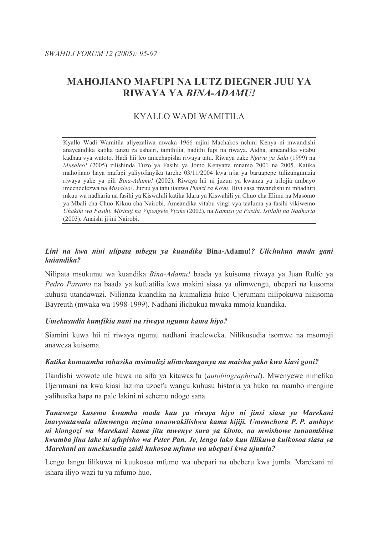# **MAHOJIANO MAFIJPI NA LIJTZ DIEGNER JIJIJ YA** RIWAYA YA *BINA-ADAMI!*

# KYALLO WADI WAMITILA

Kyallo Wadi Wamitila aliyezaliwa mwaka 1966 mjini Machakos nchini Kenya ni mwandishi anaveandika katika tanzu za ushairi, tamthilia, hadithi fupi na riwaya. Aidha, ameandika vitabu kadhaa vya watoto. Hadi hii leo amechapisha riwaya tatu. Riwaya zake Nguvu ya Sala (1999) na Musaleo! (2005) zilishinda Tuzo ya Fasihi ya Jomo Kenyatta mnamo 2001 na 2005. Katika mahojiano hava mafupi valivofanvika tarehe 03/11/2004 kwa nija va baruapepe tulizungumzia riwaya yake ya pili *Bina-Adamu!* (2002). Riwaya hii ni juzuu ya kwanza ya trilojia ambayo imeendelezwa na Musaleo!. Juzuu ya tatu itaitwa Pumzi za Kovu. Hivi sasa mwandishi ni mhadhiri mkuu wa nadharia na fasihi ya Kiswahili katika Idara ya Kiswahili ya Chuo cha Elimu na Masomo va Mbali cha Chuo Kikuu cha Nairobi. Ameandika vitabu vingi vya taaluma va fasihi vikiwemo Uhakiki wa Fasihi. Misingi na Vipengele Vyake (2002), na Kamusi ya Fasihi. Istilahi na Nadharia (2003). Anaishi jijini Nairobi.

# Lini na kwa nini ulipata mbegu ya kuandika Bina-Adamu!? Ulichukua muda gani kuiandika?

Nilipata msukumu wa kuandika *Bina-Adamu!* baada ya kuisoma riwaya ya Juan Rulfo ya Pedro Paramo na baada ya kufuatilia kwa makini siasa ya ulimwengu, ubepari na kusoma kuhusu utandawazi. Nilianza kuandika na kuimalizia huko Ujerumani nilipokuwa nikisoma Bayreuth (mwaka wa 1998-1999). Nadhani ilichukua mwaka mmoja kuandika.

### Umekusudia kumfikia nani na riwaya ngumu kama hiyo?

Siamini kuwa hii ni riwaya ngumu nadhani inaeleweka. Nilikusudia isomwe na msomaji anaweza kuisoma

#### Katika kumuumba mhusika msimulizi ulimchanganya na maisha yako kwa kiasi gani?

Uandishi wowote ule huwa na sifa ya kitawasifu (autobiographical). Mwenyewe nimefika Ujerumani na kwa kiasi lazima uzoefu wangu kuhusu historia ya huko na mambo mengine valihusika hapa na pale lakini ni sehemu ndogo sana.

Tunaweza kusema kwamba mada kuu ya riwaya hiyo ni jinsi siasa ya Marekani inavyoutawala ulimwengu mzima unaowakilishwa kama kiiiji, Umemchora P.P. ambaye ni kiongozi wa Marekani kama jitu mwenye sura ya kitoto, na mwishowe tunaambiwa kwamba jina lake ni ufupisho wa Peter Pan. Je, lengo lako kuu lilikuwa kuikosoa siasa ya Marekani au umekusudia zaidi kukosoa mfumo wa ubepari kwa ujumla?

Lengo langu lilikuwa ni kuukosoa mfumo wa ubepari na ubeberu kwa jumla. Marekani ni ishara iliyo wazi tu ya mfumo huo.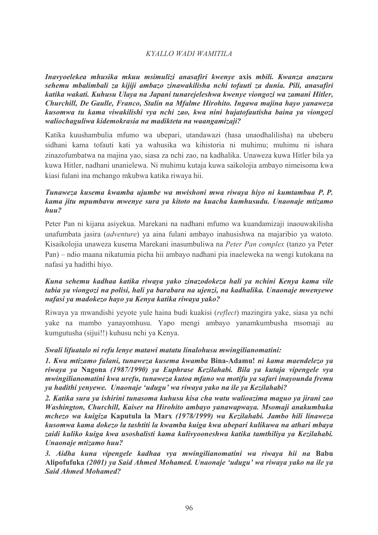### KYALLO WADI WAMITILA

Inavyoelekea mhusika mkuu msimulizi anasafiri kwenye axis mbili. Kwanza anazuru sehemu mbalimbali za kijiji ambazo zinawakilisha nchi tofauti za dunia. Pili, anasafiri katika wakati. Kuhusu Ulaya na Japani tunarejeleshwa kwenye viongozi wa zamani Hitler, Churchill, De Gaulle, Franco, Stalin na Mfalme Hirohito. Ingawa majina hayo yanaweza kusomwa tu kama viwakilishi vya nchi zao, kwa nini hujatofautisha baina ya viongozi waliochaguliwa kidemokrasia na madikteta na waangamizaji?

Katika kuushambulia mfumo wa ubepari, utandawazi (hasa unaodhalilisha) na ubeberu sidhani kama tofauti kati ya wahusika wa kihistoria ni muhimu; muhimu ni ishara zinazofumbatwa na majina yao, siasa za nchi zao, na kadhalika. Unaweza kuwa Hitler bila ya kuwa Hitler, nadhani unanielewa. Ni muhimu kutaja kuwa saikolojia ambayo nimeisoma kwa kiasi fulani ina mchango mkubwa katika riwaya hii.

### Tunaweza kusema kwamba ujumbe wa mwishoni mwa riwaya hiyo ni kumtambua P.P. kama jitu mpumbavu mwenye sura ya kitoto na kuacha kumhusudu. Unaonaje mtizamo  $huu$ ?

Peter Pan ni kijana asiyekua. Marekani na nadhani mfumo wa kuandamizaji inaouwakilisha unafumbata jasira (*adventure*) ya aina fulani ambayo inahusishwa na majaribio ya watoto. Kisaikolojia unaweza kusema Marekani inasumbuliwa na Peter Pan complex (tanzo ya Peter Pan) – ndio maana nikatumia picha hii ambayo nadhani pia inaeleweka na wengi kutokana na nafasi va hadithi hivo.

### Kuna sehemu kadhaa katika riwaya yako zinazodokeza hali ya nchini Kenya kama vile tabia ya viongozi na polisi, hali ya barabara na ujenzi, na kadhalika. Unaonaje mwenyewe nafasi ya madokezo hayo ya Kenya katika riwaya yako?

Riwaya ya mwandishi yeyote yule haina budi kuakisi (reflect) mazingira yake, siasa ya nchi yake na mambo yanayomhusu. Yapo mengi ambayo yanamkumbusha msomaji au kumgutusha (sijui!!) kuhusu nchi ya Kenya.

### Swali lifuatalo ni refu lenye matawi matatu linalohusu mwingilianomatini:

1. Kwa mtizamo fulani, tunaweza kusema kwamba Bina-Adamu! ni kama maendelezo ya riwaya ya Nagona (1987/1990) ya Euphrase Kezilahabi. Bila ya kutaja vipengele vya mwingilianomatini kwa urefu, tunaweza kutoa mfano wa motifu ya safari inayounda fremu ya hadithi yenyewe. Unaonaje 'udugu' wa riwaya yako na ile ya Kezilahabi?

2. Katika sura ya ishirini tunasoma kuhusu kisa cha watu walioazima maguo ya jirani zao Washington, Churchill, Kaiser na Hirohito ambayo yanawapwaya, Msomaji anakumbuka mchezo wa kuigiza Kaputula la Marx (1978/1999) wa Kezilahabi. Jambo hili linaweza kusomwa kama dokezo la tashtiti la kwamba kuiga kwa ubepari kulikuwa na athari mbaya zaidi kuliko kuiga kwa usoshalisti kama kulivyooneshwa katika tamthiliya ya Kezilahabi. Unaonaie mtizamo huu?

3. Aidha kuna vipengele kadhaa vya mwingilianomatini wa riwaya hii na Babu Alipofufuka (2001) ya Said Ahmed Mohamed. Unaonaje 'udugu' wa riwaya yako na ile ya **Said Ahmed Mohamed?**